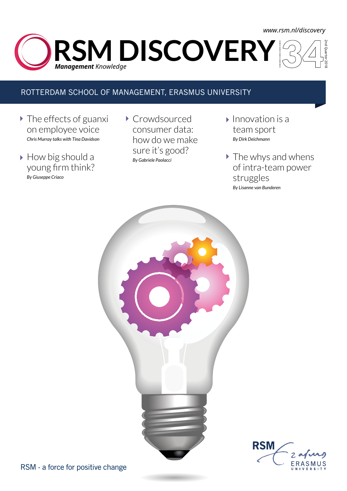## 2nd Quarter 2018 **RSM DISCOVERY** *Management Knowledge <www.rsm.nl/discovery>*

### ROTTERDAM SCHOOL OF MANAGEMENT, ERASMUS UNIVERSITY

- The effects of guanxi on employee voice *Chris Murray talks with Tina Davidson*
- ▶ How big should a young firm think? *By Giuseppe Criaco*
- ▶ Crowdsourced consumer data: how do we make sure it's good? *By Gabriele Paolacci*
- $\blacktriangleright$  Innovation is a team sport *By Dirk Deichmann*
- The whys and whens of intra-team power struggles *By Lisanne van Bunderen*

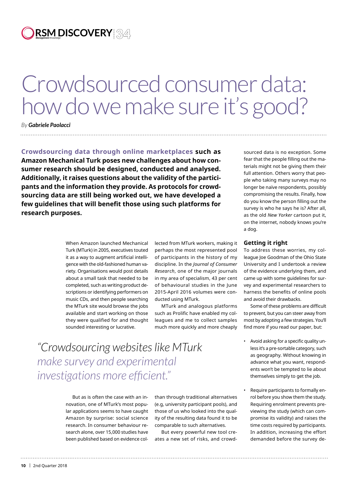**RSM DISCOVERY** *Management Knowledge*

# Crowdsourced consumer data: how do we make sure it's good?

*By Gabriele Paolacci* 

**Crowdsourcing data through online marketplaces such as Amazon Mechanical Turk poses new challenges about how consumer research should be designed, conducted and analysed. Additionally, it raises questions about the validity of the participants and the information they provide. As protocols for crowdsourcing data are still being worked out, we have developed a few guidelines that will benefit those using such platforms for research purposes.** 

> When Amazon launched Mechanical Turk (MTurk) in 2005, executives touted it as a way to augment artificial intelligence with the old-fashioned human variety. Organisations would post details about a small task that needed to be completed, such as writing product descriptions or identifying performers on music CDs, and then people searching the MTurk site would browse the jobs available and start working on those they were qualified for and thought sounded interesting or lucrative.

lected from MTurk workers, making it perhaps the most represented pool of participants in the history of my discipline. In the *Journal of Consumer Research*, one of the major journals in my area of specialism, 43 per cent of behavioural studies in the June 2015-April 2016 volumes were conducted using MTurk.

MTurk and analogous platforms such as Prolific have enabled my colleagues and me to collect samples much more quickly and more cheaply

*"Crowdsourcing websites like MTurk make survey and experimental investigations more efficient."*

> But as is often the case with an innovation, one of MTurk's most popular applications seems to have caught Amazon by surprise: social science research. In consumer behaviour research alone, over 15,000 studies have been published based on evidence col

than through traditional alternatives (e.g, university participant pools), and those of us who looked into the quality of the resulting data found it to be comparable to such alternatives.

But every powerful new tool creates a new set of risks, and crowd-

sourced data is no exception. Some fear that the people filling out the materials might not be giving them their full attention. Others worry that people who taking many surveys may no longer be naïve respondents, possibly compromising the results. Finally, how do you know the person filling out the survey is who he says he is? After all, as the old *New Yorker* cartoon put it, on the internet, nobody knows you're a dog.

### **Getting it right**

To address these worries, my colleague Joe Goodman of the Ohio State University and I undertook a review of the evidence underlying them, and came up with some guidelines for survey and experimental researchers to harness the benefits of online pools and avoid their drawbacks.

Some of these problems are difficult to prevent, but you can steer away from most by adopting a few strategies. You'll find more if you read our paper, but:

- Avoid asking for a specific quality unless it's a pre-sortable category, such as geography. Without knowing in advance what you want, respondents won't be tempted to lie about themselves simply to get the job.
- Require participants to formally enrol before you show them the study. Requiring enrolment prevents previewing the study (which can compromise its validity) and raises the time costs required by participants. In addition, increasing the effort demanded before the survey de-